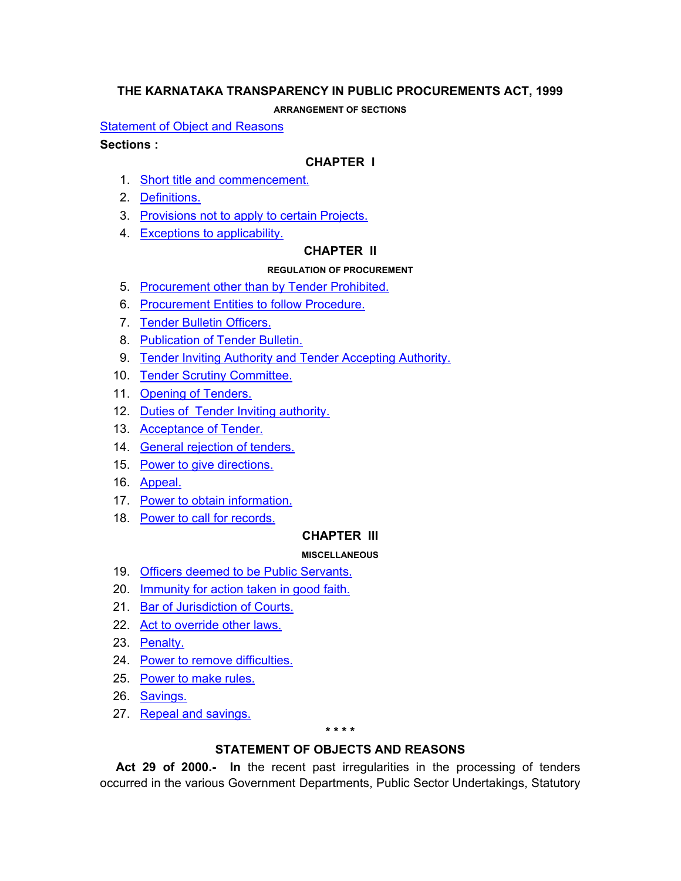# <span id="page-0-0"></span>**THE KARNATAKA TRANSPARENCY IN PUBLIC PROCUREMENTS ACT, 1999**

**ARRANGEMENT OF SECTIONS**

**[Statement of Object and Reasons](#page-0-0)** 

### **Sections :**

## **CHAPTER I**

- 1. [Short title and commencement.](#page-2-0)
- 2. [Definitions.](#page-2-0)
- 3. [Provisions not to apply to certain Projects.](#page-3-0)
- 4. [Exceptions to applicability.](#page-3-0)

# **CHAPTER II**

### **REGULATION OF PROCUREMENT**

- 5. [Procurement other than by Tender Prohibited.](#page-4-0)
- 6. [Procurement Entities to follow Procedure.](#page-4-0)
- 7. [Tender Bulletin Officers.](#page-5-0)
- 8. [Publication of Tender Bulletin.](#page-5-0)
- 9. [Tender Inviting Authority and Tender Accepting Authority.](#page-5-0)
- 10. [Tender Scrutiny Committee.](#page-5-0)
- 11. [Opening of Tenders.](#page-5-0)
- 12. [Duties of Tender Inviting authority.](#page-5-0)
- 13. [Acceptance of Tender.](#page-6-0)
- 14. [General rejection of tenders.](#page-6-0)
- 15. [Power to give directions.](#page-6-0)
- 16. [Appeal.](#page-6-0)
- 17. [Power to obtain information.](#page-7-0)
- 18. [Power to call for records.](#page-7-0)

## **CHAPTER III**

## **MISCELLANEOUS**

- 19. [Officers deemed to be Public Servants.](#page-7-0)
- 20. [Immunity for action taken in good faith.](#page-7-0)
- 21. [Bar of Jurisdiction of Courts.](#page-7-0)
- 22. [Act to override other laws.](#page-7-0)
- 23. [Penalty.](#page-7-0)
- 24. [Power to remove difficulties.](#page-7-0)
- 25. [Power to make rules.](#page-7-0)
- 26. [Savings.](#page-8-0)
- 27. [Repeal and savings.](#page-8-0)

#### **\* \* \* \***

## **STATEMENT OF OBJECTS AND REASONS**

 **Act 29 of 2000.- In** the recent past irregularities in the processing of tenders occurred in the various Government Departments, Public Sector Undertakings, Statutory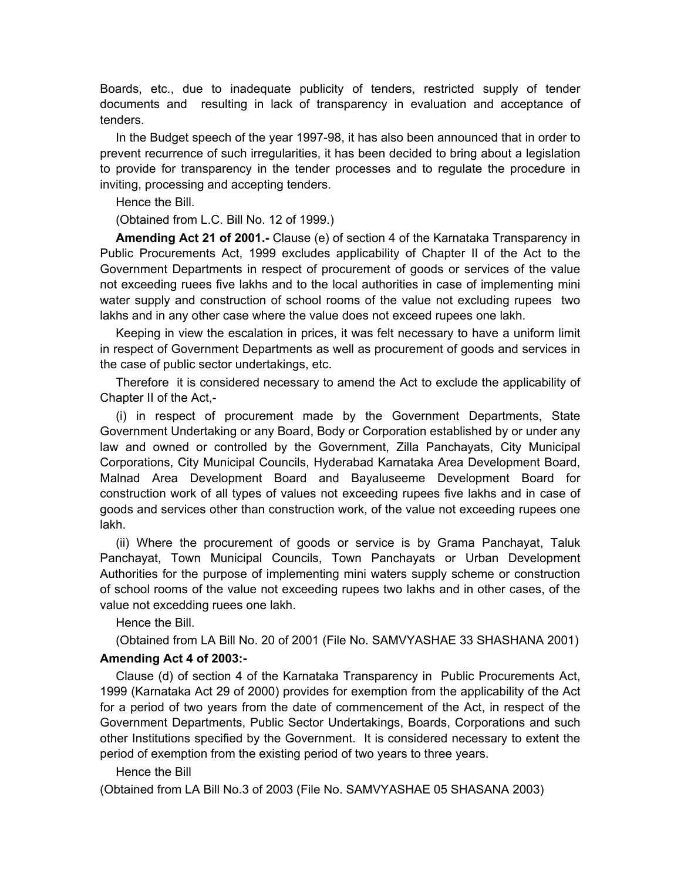Boards, etc., due to inadequate publicity of tenders, restricted supply of tender documents and resulting in lack of transparency in evaluation and acceptance of tenders.

 In the Budget speech of the year 1997-98, it has also been announced that in order to prevent recurrence of such irregularities, it has been decided to bring about a legislation to provide for transparency in the tender processes and to regulate the procedure in inviting, processing and accepting tenders.

Hence the Bill.

(Obtained from L.C. Bill No. 12 of 1999.)

 **Amending Act 21 of 2001.-** Clause (e) of section 4 of the Karnataka Transparency in Public Procurements Act, 1999 excludes applicability of Chapter II of the Act to the Government Departments in respect of procurement of goods or services of the value not exceeding ruees five lakhs and to the local authorities in case of implementing mini water supply and construction of school rooms of the value not excluding rupees two lakhs and in any other case where the value does not exceed rupees one lakh.

 Keeping in view the escalation in prices, it was felt necessary to have a uniform limit in respect of Government Departments as well as procurement of goods and services in the case of public sector undertakings, etc.

 Therefore it is considered necessary to amend the Act to exclude the applicability of Chapter II of the Act,-

 (i) in respect of procurement made by the Government Departments, State Government Undertaking or any Board, Body or Corporation established by or under any law and owned or controlled by the Government, Zilla Panchayats, City Municipal Corporations, City Municipal Councils, Hyderabad Karnataka Area Development Board, Malnad Area Development Board and Bayaluseeme Development Board for construction work of all types of values not exceeding rupees five lakhs and in case of goods and services other than construction work, of the value not exceeding rupees one lakh.

 (ii) Where the procurement of goods or service is by Grama Panchayat, Taluk Panchayat, Town Municipal Councils, Town Panchayats or Urban Development Authorities for the purpose of implementing mini waters supply scheme or construction of school rooms of the value not exceeding rupees two lakhs and in other cases, of the value not excedding ruees one lakh.

Hence the Bill.

 (Obtained from LA Bill No. 20 of 2001 (File No. SAMVYASHAE 33 SHASHANA 2001) **Amending Act 4 of 2003:-**

 Clause (d) of section 4 of the Karnataka Transparency in Public Procurements Act, 1999 (Karnataka Act 29 of 2000) provides for exemption from the applicability of the Act for a period of two years from the date of commencement of the Act, in respect of the Government Departments, Public Sector Undertakings, Boards, Corporations and such other Institutions specified by the Government. It is considered necessary to extent the period of exemption from the existing period of two years to three years.

Hence the Bill

(Obtained from LA Bill No.3 of 2003 (File No. SAMVYASHAE 05 SHASANA 2003)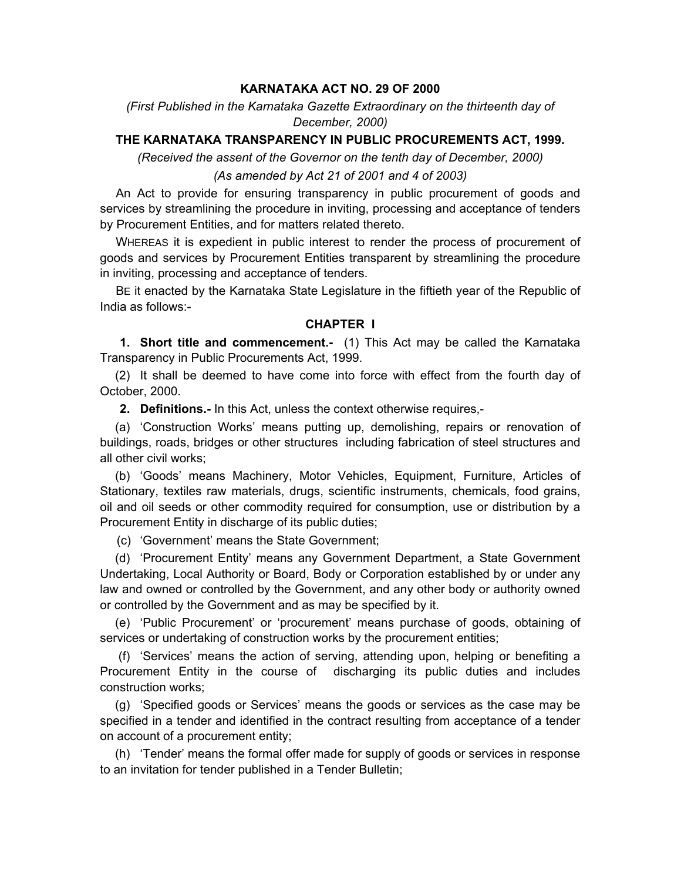### **KARNATAKA ACT NO. 29 OF 2000**

<span id="page-2-0"></span>*(First Published in the Karnataka Gazette Extraordinary on the thirteenth day of December, 2000)* 

### **THE KARNATAKA TRANSPARENCY IN PUBLIC PROCUREMENTS ACT, 1999.**

*(Received the assent of the Governor on the tenth day of December, 2000)* 

#### *(As amended by Act 21 of 2001 and 4 of 2003)*

 An Act to provide for ensuring transparency in public procurement of goods and services by streamlining the procedure in inviting, processing and acceptance of tenders by Procurement Entities, and for matters related thereto.

 WHEREAS it is expedient in public interest to render the process of procurement of goods and services by Procurement Entities transparent by streamlining the procedure in inviting, processing and acceptance of tenders.

 BE it enacted by the Karnataka State Legislature in the fiftieth year of the Republic of India as follows:-

### **CHAPTER I**

 **1. Short title and commencement.-** (1) This Act may be called the Karnataka Transparency in Public Procurements Act, 1999.

 (2) It shall be deemed to have come into force with effect from the fourth day of October, 2000.

 **2. Definitions.-** In this Act, unless the context otherwise requires,-

 (a) 'Construction Works' means putting up, demolishing, repairs or renovation of buildings, roads, bridges or other structures including fabrication of steel structures and all other civil works;

 (b) 'Goods' means Machinery, Motor Vehicles, Equipment, Furniture, Articles of Stationary, textiles raw materials, drugs, scientific instruments, chemicals, food grains, oil and oil seeds or other commodity required for consumption, use or distribution by a Procurement Entity in discharge of its public duties;

(c) 'Government' means the State Government;

 (d) 'Procurement Entity' means any Government Department, a State Government Undertaking, Local Authority or Board, Body or Corporation established by or under any law and owned or controlled by the Government, and any other body or authority owned or controlled by the Government and as may be specified by it.

 (e) 'Public Procurement' or 'procurement' means purchase of goods, obtaining of services or undertaking of construction works by the procurement entities;

 (f) 'Services' means the action of serving, attending upon, helping or benefiting a Procurement Entity in the course of discharging its public duties and includes construction works;

 (g) 'Specified goods or Services' means the goods or services as the case may be specified in a tender and identified in the contract resulting from acceptance of a tender on account of a procurement entity;

 (h) 'Tender' means the formal offer made for supply of goods or services in response to an invitation for tender published in a Tender Bulletin;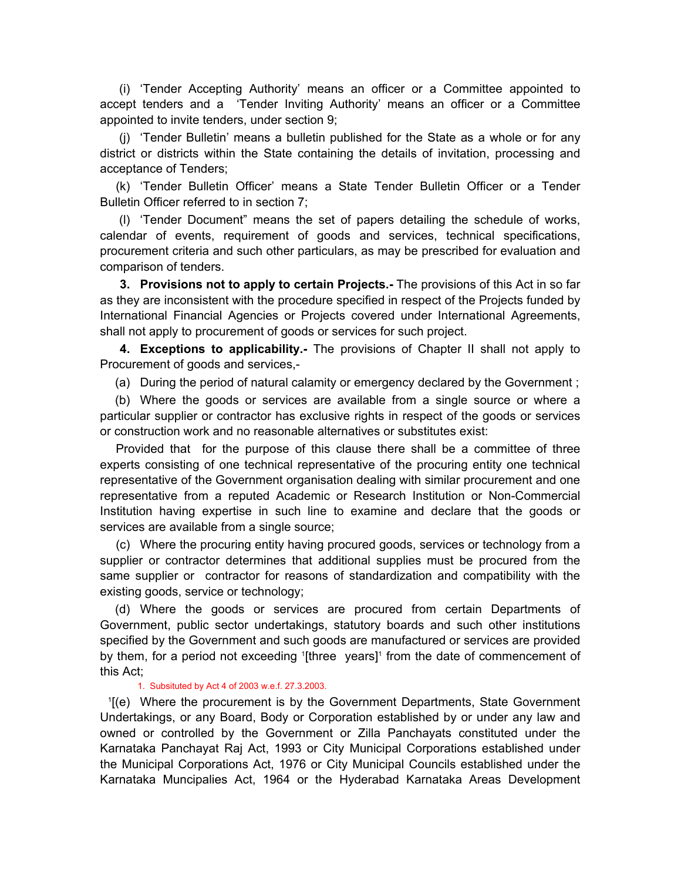<span id="page-3-0"></span> (i) 'Tender Accepting Authority' means an officer or a Committee appointed to accept tenders and a 'Tender Inviting Authority' means an officer or a Committee appointed to invite tenders, under section 9;

 (j) 'Tender Bulletin' means a bulletin published for the State as a whole or for any district or districts within the State containing the details of invitation, processing and acceptance of Tenders;

 (k) 'Tender Bulletin Officer' means a State Tender Bulletin Officer or a Tender Bulletin Officer referred to in section 7;

 (l) 'Tender Document" means the set of papers detailing the schedule of works, calendar of events, requirement of goods and services, technical specifications, procurement criteria and such other particulars, as may be prescribed for evaluation and comparison of tenders.

**3. Provisions not to apply to certain Projects.-** The provisions of this Act in so far as they are inconsistent with the procedure specified in respect of the Projects funded by International Financial Agencies or Projects covered under International Agreements, shall not apply to procurement of goods or services for such project.

**4. Exceptions to applicability.-** The provisions of Chapter II shall not apply to Procurement of goods and services,-

(a) During the period of natural calamity or emergency declared by the Government ;

 (b) Where the goods or services are available from a single source or where a particular supplier or contractor has exclusive rights in respect of the goods or services or construction work and no reasonable alternatives or substitutes exist:

 Provided that for the purpose of this clause there shall be a committee of three experts consisting of one technical representative of the procuring entity one technical representative of the Government organisation dealing with similar procurement and one representative from a reputed Academic or Research Institution or Non-Commercial Institution having expertise in such line to examine and declare that the goods or services are available from a single source;

 (c) Where the procuring entity having procured goods, services or technology from a supplier or contractor determines that additional supplies must be procured from the same supplier or contractor for reasons of standardization and compatibility with the existing goods, service or technology;

 (d) Where the goods or services are procured from certain Departments of Government, public sector undertakings, statutory boards and such other institutions specified by the Government and such goods are manufactured or services are provided by them, for a period not exceeding '[three years]' from the date of commencement of this Act;

#### 1. Subsituted by Act 4 of 2003 w.e.f. 27.3.2003.

1 [(e) Where the procurement is by the Government Departments, State Government Undertakings, or any Board, Body or Corporation established by or under any law and owned or controlled by the Government or Zilla Panchayats constituted under the Karnataka Panchayat Raj Act, 1993 or City Municipal Corporations established under the Municipal Corporations Act, 1976 or City Municipal Councils established under the Karnataka Muncipalies Act, 1964 or the Hyderabad Karnataka Areas Development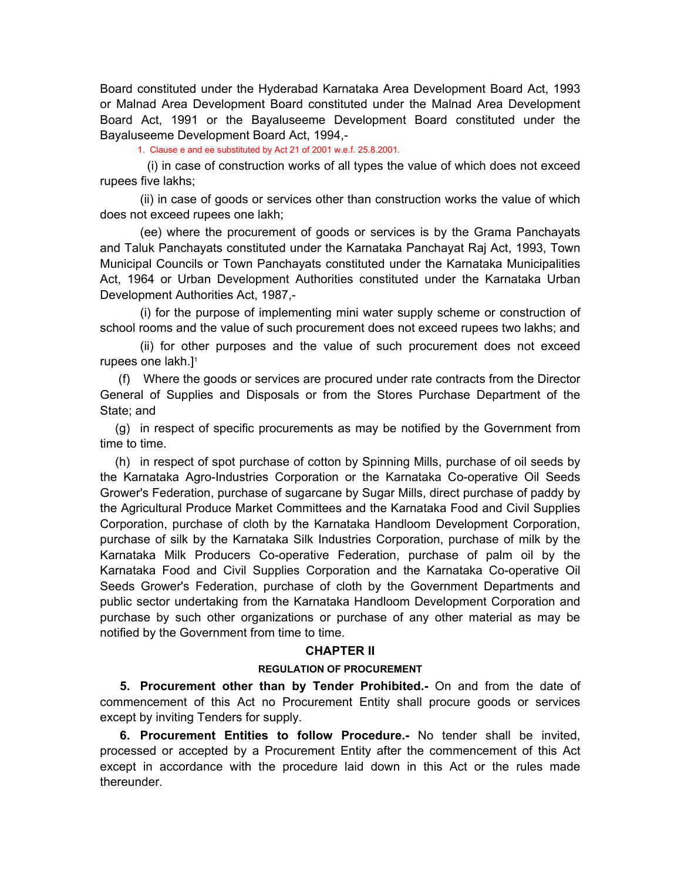<span id="page-4-0"></span>Board constituted under the Hyderabad Karnataka Area Development Board Act, 1993 or Malnad Area Development Board constituted under the Malnad Area Development Board Act, 1991 or the Bayaluseeme Development Board constituted under the Bayaluseeme Development Board Act, 1994,-

1. Clause e and ee substituted by Act 21 of 2001 w.e.f. 25.8.2001.

 (i) in case of construction works of all types the value of which does not exceed rupees five lakhs;

 (ii) in case of goods or services other than construction works the value of which does not exceed rupees one lakh;

 (ee) where the procurement of goods or services is by the Grama Panchayats and Taluk Panchayats constituted under the Karnataka Panchayat Raj Act, 1993, Town Municipal Councils or Town Panchayats constituted under the Karnataka Municipalities Act, 1964 or Urban Development Authorities constituted under the Karnataka Urban Development Authorities Act, 1987,-

 (i) for the purpose of implementing mini water supply scheme or construction of school rooms and the value of such procurement does not exceed rupees two lakhs; and

 (ii) for other purposes and the value of such procurement does not exceed rupees one lakh.<sup>11</sup>

 (f) Where the goods or services are procured under rate contracts from the Director General of Supplies and Disposals or from the Stores Purchase Department of the State; and

 (g) in respect of specific procurements as may be notified by the Government from time to time.

 (h) in respect of spot purchase of cotton by Spinning Mills, purchase of oil seeds by the Karnataka Agro-Industries Corporation or the Karnataka Co-operative Oil Seeds Grower's Federation, purchase of sugarcane by Sugar Mills, direct purchase of paddy by the Agricultural Produce Market Committees and the Karnataka Food and Civil Supplies Corporation, purchase of cloth by the Karnataka Handloom Development Corporation, purchase of silk by the Karnataka Silk Industries Corporation, purchase of milk by the Karnataka Milk Producers Co-operative Federation, purchase of palm oil by the Karnataka Food and Civil Supplies Corporation and the Karnataka Co-operative Oil Seeds Grower's Federation, purchase of cloth by the Government Departments and public sector undertaking from the Karnataka Handloom Development Corporation and purchase by such other organizations or purchase of any other material as may be notified by the Government from time to time.

#### **CHAPTER II**

#### **REGULATION OF PROCUREMENT**

 **5. Procurement other than by Tender Prohibited.-** On and from the date of commencement of this Act no Procurement Entity shall procure goods or services except by inviting Tenders for supply.

 **6. Procurement Entities to follow Procedure.-** No tender shall be invited, processed or accepted by a Procurement Entity after the commencement of this Act except in accordance with the procedure laid down in this Act or the rules made thereunder.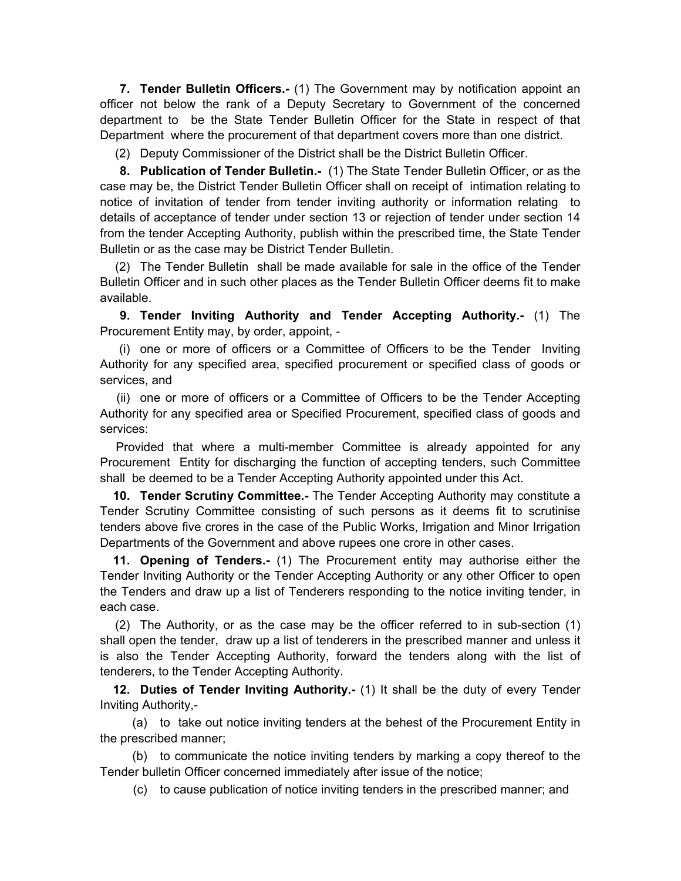<span id="page-5-0"></span> **7. Tender Bulletin Officers.-** (1) The Government may by notification appoint an officer not below the rank of a Deputy Secretary to Government of the concerned department to be the State Tender Bulletin Officer for the State in respect of that Department where the procurement of that department covers more than one district.

(2) Deputy Commissioner of the District shall be the District Bulletin Officer.

 **8. Publication of Tender Bulletin.-** (1) The State Tender Bulletin Officer, or as the case may be, the District Tender Bulletin Officer shall on receipt of intimation relating to notice of invitation of tender from tender inviting authority or information relating to details of acceptance of tender under section 13 or rejection of tender under section 14 from the tender Accepting Authority, publish within the prescribed time, the State Tender Bulletin or as the case may be District Tender Bulletin.

 (2) The Tender Bulletin shall be made available for sale in the office of the Tender Bulletin Officer and in such other places as the Tender Bulletin Officer deems fit to make available.

 **9. Tender Inviting Authority and Tender Accepting Authority.-** (1) The Procurement Entity may, by order, appoint, -

 (i) one or more of officers or a Committee of Officers to be the Tender Inviting Authority for any specified area, specified procurement or specified class of goods or services, and

 (ii) one or more of officers or a Committee of Officers to be the Tender Accepting Authority for any specified area or Specified Procurement, specified class of goods and services:

 Provided that where a multi-member Committee is already appointed for any Procurement Entity for discharging the function of accepting tenders, such Committee shall be deemed to be a Tender Accepting Authority appointed under this Act.

**10. Tender Scrutiny Committee.-** The Tender Accepting Authority may constitute a Tender Scrutiny Committee consisting of such persons as it deems fit to scrutinise tenders above five crores in the case of the Public Works, Irrigation and Minor Irrigation Departments of the Government and above rupees one crore in other cases.

 **11. Opening of Tenders.-** (1) The Procurement entity may authorise either the Tender Inviting Authority or the Tender Accepting Authority or any other Officer to open the Tenders and draw up a list of Tenderers responding to the notice inviting tender, in each case.

 (2) The Authority, or as the case may be the officer referred to in sub-section (1) shall open the tender, draw up a list of tenderers in the prescribed manner and unless it is also the Tender Accepting Authority, forward the tenders along with the list of tenderers, to the Tender Accepting Authority.

**12. Duties of Tender Inviting Authority.-** (1) It shall be the duty of every Tender Inviting Authority,-

 (a) to take out notice inviting tenders at the behest of the Procurement Entity in the prescribed manner;

 (b) to communicate the notice inviting tenders by marking a copy thereof to the Tender bulletin Officer concerned immediately after issue of the notice;

(c) to cause publication of notice inviting tenders in the prescribed manner; and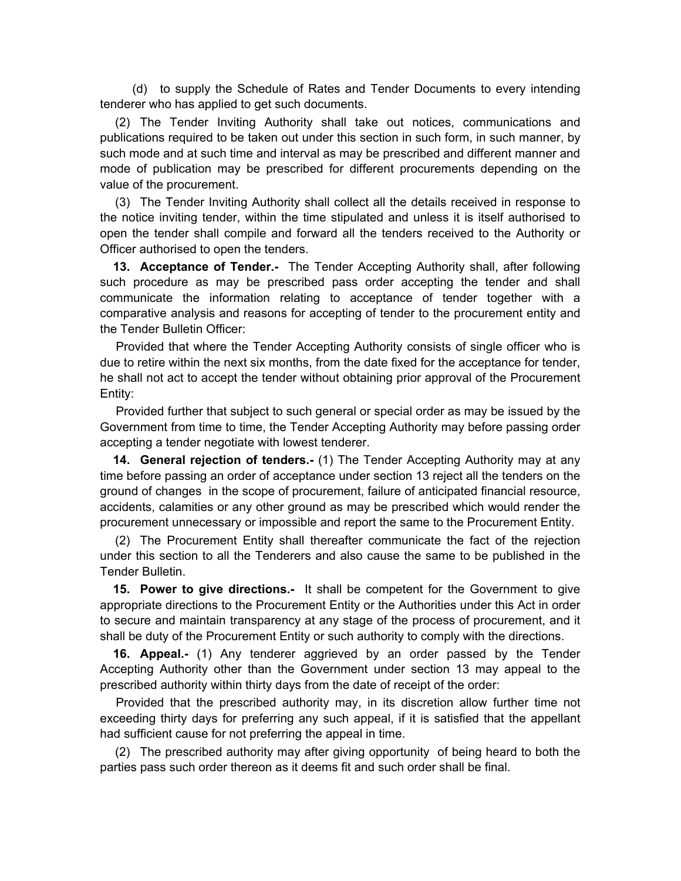<span id="page-6-0"></span> (d) to supply the Schedule of Rates and Tender Documents to every intending tenderer who has applied to get such documents.

 (2) The Tender Inviting Authority shall take out notices, communications and publications required to be taken out under this section in such form, in such manner, by such mode and at such time and interval as may be prescribed and different manner and mode of publication may be prescribed for different procurements depending on the value of the procurement.

 (3) The Tender Inviting Authority shall collect all the details received in response to the notice inviting tender, within the time stipulated and unless it is itself authorised to open the tender shall compile and forward all the tenders received to the Authority or Officer authorised to open the tenders.

 **13. Acceptance of Tender.-** The Tender Accepting Authority shall, after following such procedure as may be prescribed pass order accepting the tender and shall communicate the information relating to acceptance of tender together with a comparative analysis and reasons for accepting of tender to the procurement entity and the Tender Bulletin Officer:

 Provided that where the Tender Accepting Authority consists of single officer who is due to retire within the next six months, from the date fixed for the acceptance for tender, he shall not act to accept the tender without obtaining prior approval of the Procurement Entity:

 Provided further that subject to such general or special order as may be issued by the Government from time to time, the Tender Accepting Authority may before passing order accepting a tender negotiate with lowest tenderer.

 **14. General rejection of tenders.-** (1) The Tender Accepting Authority may at any time before passing an order of acceptance under section 13 reject all the tenders on the ground of changes in the scope of procurement, failure of anticipated financial resource, accidents, calamities or any other ground as may be prescribed which would render the procurement unnecessary or impossible and report the same to the Procurement Entity.

 (2) The Procurement Entity shall thereafter communicate the fact of the rejection under this section to all the Tenderers and also cause the same to be published in the Tender Bulletin.

 **15. Power to give directions.-** It shall be competent for the Government to give appropriate directions to the Procurement Entity or the Authorities under this Act in order to secure and maintain transparency at any stage of the process of procurement, and it shall be duty of the Procurement Entity or such authority to comply with the directions.

 **16. Appeal.-** (1) Any tenderer aggrieved by an order passed by the Tender Accepting Authority other than the Government under section 13 may appeal to the prescribed authority within thirty days from the date of receipt of the order:

 Provided that the prescribed authority may, in its discretion allow further time not exceeding thirty days for preferring any such appeal, if it is satisfied that the appellant had sufficient cause for not preferring the appeal in time.

 (2) The prescribed authority may after giving opportunity of being heard to both the parties pass such order thereon as it deems fit and such order shall be final.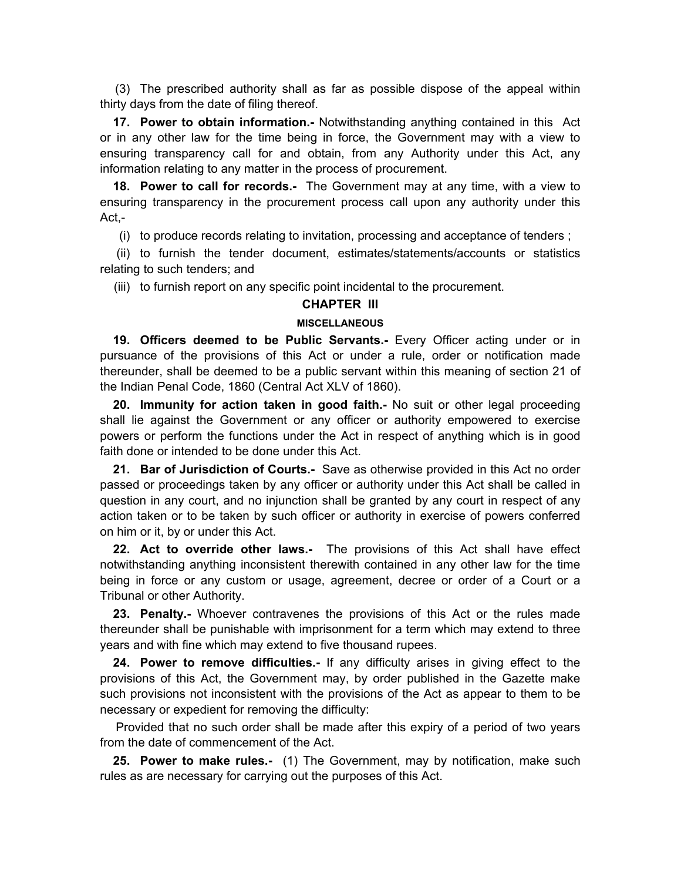<span id="page-7-0"></span> (3) The prescribed authority shall as far as possible dispose of the appeal within thirty days from the date of filing thereof.

 **17. Power to obtain information.-** Notwithstanding anything contained in this Act or in any other law for the time being in force, the Government may with a view to ensuring transparency call for and obtain, from any Authority under this Act, any information relating to any matter in the process of procurement.

 **18. Power to call for records.-** The Government may at any time, with a view to ensuring transparency in the procurement process call upon any authority under this Act,-

(i) to produce records relating to invitation, processing and acceptance of tenders ;

 (ii) to furnish the tender document, estimates/statements/accounts or statistics relating to such tenders; and

(iii) to furnish report on any specific point incidental to the procurement.

### **CHAPTER III**

#### **MISCELLANEOUS**

 **19. Officers deemed to be Public Servants.-** Every Officer acting under or in pursuance of the provisions of this Act or under a rule, order or notification made thereunder, shall be deemed to be a public servant within this meaning of section 21 of the Indian Penal Code, 1860 (Central Act XLV of 1860).

**20. Immunity for action taken in good faith.-** No suit or other legal proceeding shall lie against the Government or any officer or authority empowered to exercise powers or perform the functions under the Act in respect of anything which is in good faith done or intended to be done under this Act.

 **21. Bar of Jurisdiction of Courts.-** Save as otherwise provided in this Act no order passed or proceedings taken by any officer or authority under this Act shall be called in question in any court, and no injunction shall be granted by any court in respect of any action taken or to be taken by such officer or authority in exercise of powers conferred on him or it, by or under this Act.

 **22. Act to override other laws.-** The provisions of this Act shall have effect notwithstanding anything inconsistent therewith contained in any other law for the time being in force or any custom or usage, agreement, decree or order of a Court or a Tribunal or other Authority.

 **23. Penalty.-** Whoever contravenes the provisions of this Act or the rules made thereunder shall be punishable with imprisonment for a term which may extend to three years and with fine which may extend to five thousand rupees.

 **24. Power to remove difficulties.-** If any difficulty arises in giving effect to the provisions of this Act, the Government may, by order published in the Gazette make such provisions not inconsistent with the provisions of the Act as appear to them to be necessary or expedient for removing the difficulty:

 Provided that no such order shall be made after this expiry of a period of two years from the date of commencement of the Act.

 **25. Power to make rules.-** (1) The Government, may by notification, make such rules as are necessary for carrying out the purposes of this Act.